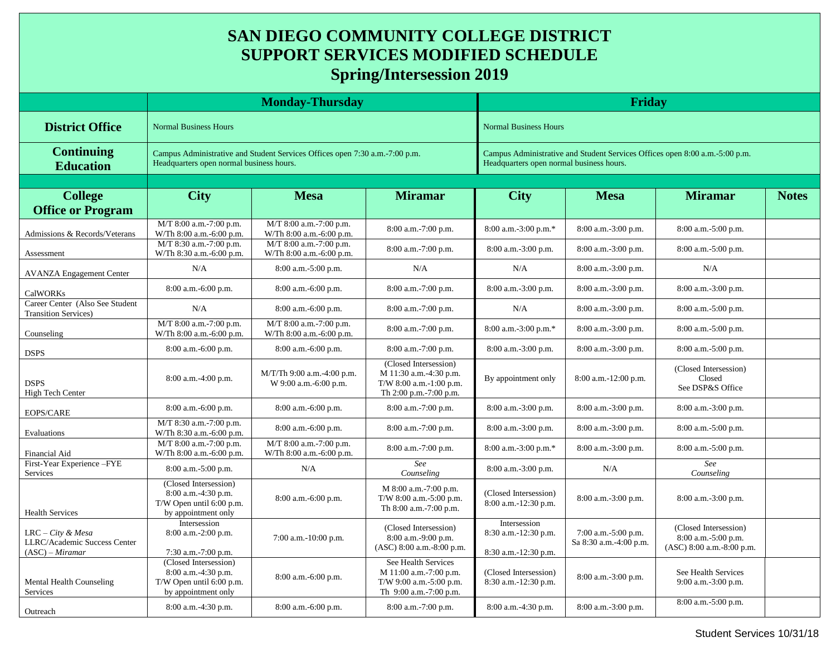## **SAN DIEGO COMMUNITY COLLEGE DISTRICT SUPPORT SERVICES MODIFIED SCHEDULE Spring/Intersession 2019**

|                                                                          | <b>Monday-Thursday</b>                                                                                                  |                                                     |                                                                                                      | Friday                                                                                                                  |                                               |                                                                             |              |  |
|--------------------------------------------------------------------------|-------------------------------------------------------------------------------------------------------------------------|-----------------------------------------------------|------------------------------------------------------------------------------------------------------|-------------------------------------------------------------------------------------------------------------------------|-----------------------------------------------|-----------------------------------------------------------------------------|--------------|--|
| <b>District Office</b>                                                   | <b>Normal Business Hours</b>                                                                                            |                                                     |                                                                                                      | <b>Normal Business Hours</b>                                                                                            |                                               |                                                                             |              |  |
| <b>Continuing</b><br><b>Education</b>                                    | Campus Administrative and Student Services Offices open 7:30 a.m.-7:00 p.m.<br>Headquarters open normal business hours. |                                                     |                                                                                                      | Campus Administrative and Student Services Offices open 8:00 a.m.-5:00 p.m.<br>Headquarters open normal business hours. |                                               |                                                                             |              |  |
|                                                                          |                                                                                                                         |                                                     |                                                                                                      |                                                                                                                         |                                               |                                                                             |              |  |
| <b>College</b><br><b>Office or Program</b>                               | <b>City</b>                                                                                                             | <b>Mesa</b>                                         | <b>Miramar</b>                                                                                       | <b>City</b>                                                                                                             | <b>Mesa</b>                                   | <b>Miramar</b>                                                              | <b>Notes</b> |  |
| Admissions & Records/Veterans                                            | M/T 8:00 a.m.-7:00 p.m.<br>W/Th 8:00 a.m.-6:00 p.m.                                                                     | M/T 8:00 a.m.-7:00 p.m.<br>W/Th 8:00 a.m.-6:00 p.m. | 8:00 a.m.-7:00 p.m.                                                                                  | 8:00 a.m.-3:00 p.m.*                                                                                                    | 8:00 a.m.-3:00 p.m.                           | 8:00 a.m.-5:00 p.m.                                                         |              |  |
| Assessment                                                               | M/T 8:30 a.m.-7:00 p.m.<br>W/Th 8:30 a.m.-6:00 p.m.                                                                     | M/T 8:00 a.m.-7:00 p.m.<br>W/Th 8:00 a.m.-6:00 p.m. | 8:00 a.m.-7:00 p.m.                                                                                  | 8:00 a.m.-3:00 p.m.                                                                                                     | 8:00 a.m.-3:00 p.m.                           | 8:00 a.m.-5:00 p.m.                                                         |              |  |
| <b>AVANZA Engagement Center</b>                                          | N/A                                                                                                                     | 8:00 a.m.-5:00 p.m.                                 | N/A                                                                                                  | N/A                                                                                                                     | 8:00 a.m.-3:00 p.m.                           | N/A                                                                         |              |  |
| <b>CalWORKs</b>                                                          | 8:00 a.m.-6:00 p.m.                                                                                                     | 8:00 a.m.-6:00 p.m.                                 | 8:00 a.m.-7:00 p.m.                                                                                  | 8:00 a.m.-3:00 p.m.                                                                                                     | 8:00 a.m.-3:00 p.m.                           | 8:00 a.m.-3:00 p.m.                                                         |              |  |
| Career Center (Also See Student<br><b>Transition Services</b> )          | N/A                                                                                                                     | 8:00 a.m.-6:00 p.m.                                 | 8:00 a.m.-7:00 p.m.                                                                                  | N/A                                                                                                                     | 8:00 a.m.-3:00 p.m.                           | 8:00 a.m.-5:00 p.m.                                                         |              |  |
| Counseling                                                               | M/T 8:00 a.m.-7:00 p.m.<br>W/Th 8:00 a.m.-6:00 p.m.                                                                     | M/T 8:00 a.m.-7:00 p.m.<br>W/Th 8:00 a.m.-6:00 p.m. | 8:00 a.m.-7:00 p.m.                                                                                  | 8:00 a.m.-3:00 p.m.*                                                                                                    | 8:00 a.m.-3:00 p.m.                           | 8:00 a.m.-5:00 p.m.                                                         |              |  |
| <b>DSPS</b>                                                              | 8:00 a.m.-6:00 p.m.                                                                                                     | 8:00 a.m.-6:00 p.m.                                 | 8:00 a.m.-7:00 p.m.                                                                                  | 8:00 a.m.-3:00 p.m.                                                                                                     | 8:00 a.m.-3:00 p.m.                           | 8:00 a.m.-5:00 p.m.                                                         |              |  |
| <b>DSPS</b><br>High Tech Center                                          | 8:00 a.m.-4:00 p.m.                                                                                                     | M/T/Th 9:00 a.m.-4:00 p.m.<br>W 9:00 a.m.-6:00 p.m. | (Closed Intersession)<br>M 11:30 a.m.-4:30 p.m.<br>T/W 8:00 a.m.-1:00 p.m.<br>Th 2:00 p.m.-7:00 p.m. | By appointment only                                                                                                     | $8:00$ a.m.-12:00 p.m.                        | (Closed Intersession)<br>Closed<br>See DSP&S Office                         |              |  |
| EOPS/CARE                                                                | 8:00 a.m.-6:00 p.m.                                                                                                     | 8:00 a.m.-6:00 p.m.                                 | 8:00 a.m.-7:00 p.m.                                                                                  | 8:00 a.m.-3:00 p.m.                                                                                                     | 8:00 a.m.-3:00 p.m.                           | 8:00 a.m.-3:00 p.m.                                                         |              |  |
| Evaluations                                                              | M/T 8:30 a.m.-7:00 p.m.<br>W/Th 8:30 a.m.-6:00 p.m.                                                                     | 8:00 a.m.-6:00 p.m.                                 | 8:00 a.m.-7:00 p.m.                                                                                  | 8:00 a.m.-3:00 p.m.                                                                                                     | 8:00 a.m.-3:00 p.m.                           | 8:00 a.m.-5:00 p.m.                                                         |              |  |
| Financial Aid                                                            | M/T 8:00 a.m.-7:00 p.m.<br>W/Th 8:00 a.m.-6:00 p.m.                                                                     | M/T 8:00 a.m.-7:00 p.m.<br>W/Th 8:00 a.m.-6:00 p.m. | 8:00 a.m.-7:00 p.m.                                                                                  | 8:00 a.m.-3:00 p.m.*                                                                                                    | 8:00 a.m.-3:00 p.m.                           | 8:00 a.m.-5:00 p.m.                                                         |              |  |
| First-Year Experience-FYE<br><b>Services</b>                             | 8:00 a.m.-5:00 p.m.                                                                                                     | N/A                                                 | See<br>Counseling                                                                                    | 8:00 a.m.-3:00 p.m.                                                                                                     | N/A                                           | See<br>Counseling                                                           |              |  |
| <b>Health Services</b>                                                   | (Closed Intersession)<br>8:00 a.m.-4:30 p.m.<br>T/W Open until 6:00 p.m.<br>by appointment only                         | 8:00 a.m.-6:00 p.m.                                 | M 8:00 a.m.-7:00 p.m.<br>T/W 8:00 a.m.-5:00 p.m.<br>Th 8:00 a.m.-7:00 p.m.                           | (Closed Intersession)<br>8:00 a.m.-12:30 p.m.                                                                           | 8:00 a.m.-3:00 p.m.                           | 8:00 a.m.-3:00 p.m.                                                         |              |  |
| $LRC - City & Mesa$<br>LLRC/Academic Success Center<br>$(ASC) - Miramar$ | Intersession<br>$8:00$ a.m.-2:00 p.m.<br>$7:30$ a.m.-7:00 p.m.                                                          | 7:00 a.m.-10:00 p.m.                                | (Closed Intersession)<br>8:00 a.m.-9:00 p.m.<br>(ASC) 8:00 a.m.-8:00 p.m.                            | Intersession<br>8:30 a.m.-12:30 p.m.<br>8:30 a.m.-12:30 p.m.                                                            | 7:00 a.m.-5:00 p.m.<br>Sa 8:30 a.m.-4:00 p.m. | (Closed Intersession)<br>8:00 a.m.-5:00 p.m.<br>$(ASC) 8:00$ a.m.-8:00 p.m. |              |  |
| Mental Health Counseling<br>Services                                     | (Closed Intersession)<br>8:00 a.m.-4:30 p.m.<br>T/W Open until 6:00 p.m.<br>by appointment only                         | 8:00 a.m.-6:00 p.m.                                 | See Health Services<br>M 11:00 a.m.-7:00 p.m.<br>T/W 9:00 a.m.-5:00 p.m.<br>Th 9:00 a.m.-7:00 p.m.   | (Closed Intersession)<br>8:30 a.m.-12:30 p.m.                                                                           | 8:00 a.m.-3:00 p.m.                           | See Health Services<br>9:00 a.m.-3:00 p.m.                                  |              |  |
| Outreach                                                                 | 8:00 a.m.-4:30 p.m.                                                                                                     | 8:00 a.m.-6:00 p.m.                                 | 8:00 a.m.-7:00 p.m.                                                                                  | 8:00 a.m.-4:30 p.m.                                                                                                     | 8:00 a.m.-3:00 p.m.                           | 8:00 a.m.-5:00 p.m.                                                         |              |  |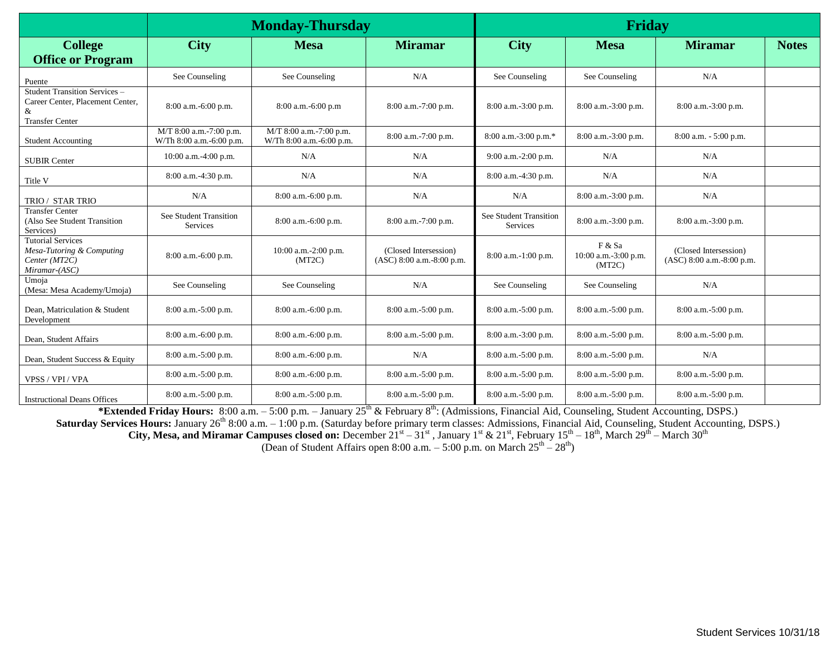|                                                                                                  |                                                     | <b>Monday-Thursday</b>                              |                                                    | <b>Friday</b>                      |                                          |                                                    |              |
|--------------------------------------------------------------------------------------------------|-----------------------------------------------------|-----------------------------------------------------|----------------------------------------------------|------------------------------------|------------------------------------------|----------------------------------------------------|--------------|
| <b>College</b><br><b>Office or Program</b>                                                       | <b>City</b>                                         | <b>Mesa</b>                                         | <b>Miramar</b>                                     | <b>City</b>                        | <b>Mesa</b>                              | <b>Miramar</b>                                     | <b>Notes</b> |
| Puente                                                                                           | See Counseling                                      | See Counseling                                      | N/A                                                | See Counseling                     | See Counseling                           | N/A                                                |              |
| Student Transition Services -<br>Career Center, Placement Center,<br>&<br><b>Transfer Center</b> | 8:00 a.m.-6:00 p.m.                                 | $8:00$ a.m.-6:00 p.m                                | 8:00 a.m.-7:00 p.m.                                | $8:00$ a.m.-3:00 p.m.              | 8:00 a.m.-3:00 p.m.                      | $8:00$ a.m.-3:00 p.m.                              |              |
| <b>Student Accounting</b>                                                                        | M/T 8:00 a.m.-7:00 p.m.<br>W/Th 8:00 a.m.-6:00 p.m. | M/T 8:00 a.m.-7:00 p.m.<br>W/Th 8:00 a.m.-6:00 p.m. | 8:00 a.m.-7:00 p.m.                                | 8:00 a.m.-3:00 p.m.*               | 8:00 a.m.-3:00 p.m.                      | 8:00 a.m. - 5:00 p.m.                              |              |
| <b>SUBIR Center</b>                                                                              | 10:00 a.m.-4:00 p.m.                                | N/A                                                 | N/A                                                | 9:00 a.m.-2:00 p.m.                | N/A                                      | N/A                                                |              |
| Title V                                                                                          | 8:00 a.m.-4:30 p.m.                                 | N/A                                                 | N/A                                                | 8:00 a.m.-4:30 p.m.                | N/A                                      | N/A                                                |              |
| TRIO / STAR TRIO                                                                                 | N/A                                                 | 8:00 a.m.-6:00 p.m.                                 | N/A                                                | N/A                                | 8:00 a.m.-3:00 p.m.                      | N/A                                                |              |
| <b>Transfer Center</b><br>(Also See Student Transition<br>Services)                              | See Student Transition<br>Services                  | $8:00$ a.m. $-6:00$ p.m.                            | 8:00 a.m.-7:00 p.m.                                | See Student Transition<br>Services | 8:00 a.m.-3:00 p.m.                      | 8:00 a.m.-3:00 p.m.                                |              |
| <b>Tutorial Services</b><br>Mesa-Tutoring & Computing<br>Center (MT2C)<br>Miramar-(ASC)          | 8:00 a.m.-6:00 p.m.                                 | $10:00$ a.m.-2:00 p.m.<br>(MT2C)                    | (Closed Intersession)<br>(ASC) 8:00 a.m.-8:00 p.m. | $8:00$ a.m.-1:00 p.m.              | F & Sa<br>10:00 a.m.-3:00 p.m.<br>(MT2C) | (Closed Intersession)<br>(ASC) 8:00 a.m.-8:00 p.m. |              |
| Umoja<br>(Mesa: Mesa Academy/Umoja)                                                              | See Counseling                                      | See Counseling                                      | N/A                                                | See Counseling                     | See Counseling                           | N/A                                                |              |
| Dean, Matriculation & Student<br>Development                                                     | 8:00 a.m.-5:00 p.m.                                 | $8:00$ a.m. $-6:00$ p.m.                            | 8:00 a.m.-5:00 p.m.                                | 8:00 a.m.-5:00 p.m.                | 8:00 a.m.-5:00 p.m.                      | 8:00 a.m.-5:00 p.m.                                |              |
| Dean, Student Affairs                                                                            | 8:00 a.m.-6:00 p.m.                                 | $8:00$ a.m. $-6:00$ p.m.                            | 8:00 a.m.-5:00 p.m.                                | 8:00 a.m.-3:00 p.m.                | 8:00 a.m.-5:00 p.m.                      | 8:00 a.m.-5:00 p.m.                                |              |
| Dean, Student Success & Equity                                                                   | 8:00 a.m.-5:00 p.m.                                 | 8:00 a.m.-6:00 p.m.                                 | N/A                                                | 8:00 a.m.-5:00 p.m.                | 8:00 a.m.-5:00 p.m.                      | N/A                                                |              |
| VPSS / VPI / VPA                                                                                 | $8:00$ a.m.-5:00 p.m.                               | $8:00$ a.m. $-6:00$ p.m.                            | 8:00 a.m.-5:00 p.m.                                | 8:00 a.m.-5:00 p.m.                | 8:00 a.m.-5:00 p.m.                      | 8:00 a.m.-5:00 p.m.                                |              |
| <b>Instructional Deans Offices</b>                                                               | 8:00 a.m.-5:00 p.m.                                 | 8:00 a.m.-5:00 p.m.                                 | 8:00 a.m.-5:00 p.m.                                | 8:00 a.m.-5:00 p.m.                | 8:00 a.m.-5:00 p.m.                      | 8:00 a.m.-5:00 p.m.                                |              |

\***Extended Friday Hours:** 8:00 a.m. – 5:00 p.m. – January 25<sup>th</sup> & February 8<sup>th</sup>: (Admissions, Financial Aid, Counseling, Student Accounting, DSPS.) Saturday Services Hours: January 26<sup>th</sup> 8:00 a.m. - 1:00 p.m. (Saturday before primary term classes: Admissions, Financial Aid, Counseling, Student Accounting, DSPS.) **City, Mesa, and Miramar Campuses closed on:** December  $21^{st} - 31^{st}$ , January  $1^{st}$  &  $21^{st}$ , February  $15^{th} - 18^{th}$ , March  $29^{th}$  – March  $30^{th}$ (Dean of Student Affairs open 8:00 a.m.  $-5:00$  p.m. on March  $25<sup>th</sup> - 28<sup>th</sup>$ )